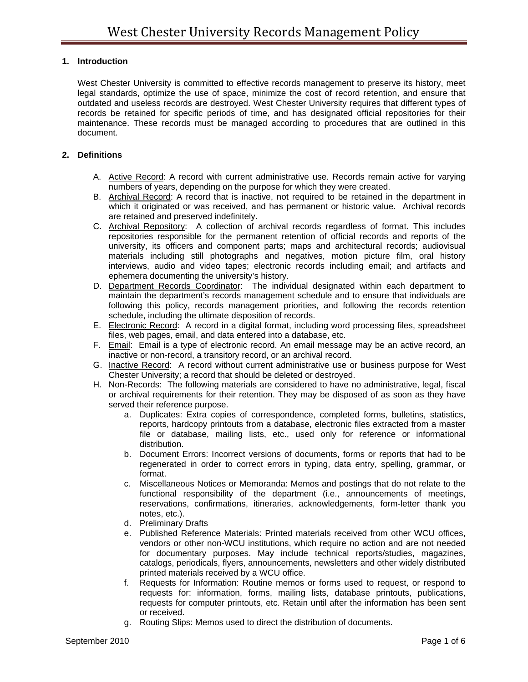## **1. Introduction**

West Chester University is committed to effective records management to preserve its history, meet legal standards, optimize the use of space, minimize the cost of record retention, and ensure that outdated and useless records are destroyed. West Chester University requires that different types of records be retained for specific periods of time, and has designated official repositories for their maintenance. These records must be managed according to procedures that are outlined in this document.

## **2. Definitions**

- A. Active Record: A record with current administrative use. Records remain active for varying numbers of years, depending on the purpose for which they were created.
- B. Archival Record: A record that is inactive, not required to be retained in the department in which it originated or was received, and has permanent or historic value. Archival records are retained and preserved indefinitely.
- C. Archival Repository: A collection of archival records regardless of format. This includes repositories responsible for the permanent retention of official records and reports of the university, its officers and component parts; maps and architectural records; audiovisual materials including still photographs and negatives, motion picture film, oral history interviews, audio and video tapes; electronic records including email; and artifacts and ephemera documenting the university's history.
- D. Department Records Coordinator: The individual designated within each department to maintain the department's records management schedule and to ensure that individuals are following this policy, records management priorities, and following the records retention schedule, including the ultimate disposition of records.
- E. Electronic Record: A record in a digital format, including word processing files, spreadsheet files, web pages, email, and data entered into a database, etc.
- F. Email: Email is a type of electronic record. An email message may be an active record, an inactive or non-record, a transitory record, or an archival record.
- G. Inactive Record: A record without current administrative use or business purpose for West Chester University; a record that should be deleted or destroyed.
- H. Non-Records: The following materials are considered to have no administrative, legal, fiscal or archival requirements for their retention. They may be disposed of as soon as they have served their reference purpose.
	- a. Duplicates: Extra copies of correspondence, completed forms, bulletins, statistics, reports, hardcopy printouts from a database, electronic files extracted from a master file or database, mailing lists, etc., used only for reference or informational distribution.
	- b. Document Errors: Incorrect versions of documents, forms or reports that had to be regenerated in order to correct errors in typing, data entry, spelling, grammar, or format.
	- c. Miscellaneous Notices or Memoranda: Memos and postings that do not relate to the functional responsibility of the department (i.e., announcements of meetings, reservations, confirmations, itineraries, acknowledgements, form-letter thank you notes, etc.).
	- d. Preliminary Drafts
	- e. Published Reference Materials: Printed materials received from other WCU offices, vendors or other non-WCU institutions, which require no action and are not needed for documentary purposes. May include technical reports/studies, magazines, catalogs, periodicals, flyers, announcements, newsletters and other widely distributed printed materials received by a WCU office.
	- f. Requests for Information: Routine memos or forms used to request, or respond to requests for: information, forms, mailing lists, database printouts, publications, requests for computer printouts, etc. Retain until after the information has been sent or received.
	- g. Routing Slips: Memos used to direct the distribution of documents.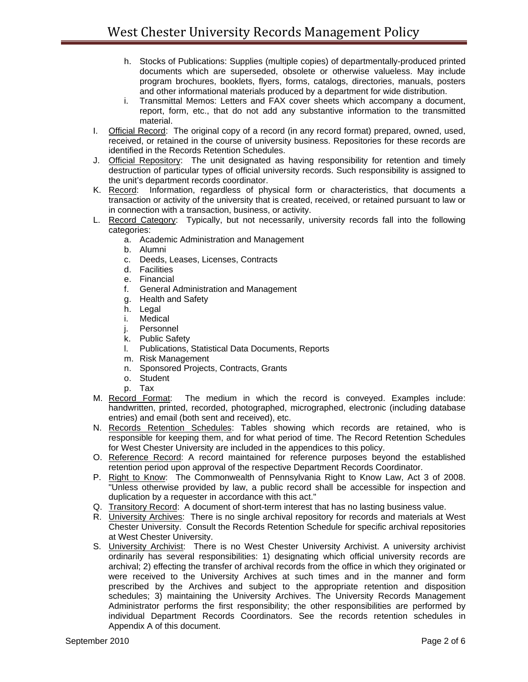- h. Stocks of Publications: Supplies (multiple copies) of departmentally-produced printed documents which are superseded, obsolete or otherwise valueless. May include program brochures, booklets, flyers, forms, catalogs, directories, manuals, posters and other informational materials produced by a department for wide distribution.
- i. Transmittal Memos: Letters and FAX cover sheets which accompany a document, report, form, etc., that do not add any substantive information to the transmitted material.
- I. Official Record: The original copy of a record (in any record format) prepared, owned, used, received, or retained in the course of university business. Repositories for these records are identified in the Records Retention Schedules.
- J. Official Repository: The unit designated as having responsibility for retention and timely destruction of particular types of official university records. Such responsibility is assigned to the unit's department records coordinator.
- K. Record: Information, regardless of physical form or characteristics, that documents a transaction or activity of the university that is created, received, or retained pursuant to law or in connection with a transaction, business, or activity.
- L. Record Category: Typically, but not necessarily, university records fall into the following categories:
	- a. Academic Administration and Management
	- b. Alumni
	- c. Deeds, Leases, Licenses, Contracts
	- d. Facilities
	- e. Financial
	- f. General Administration and Management
	- g. Health and Safety
	- h. Legal
	- i. Medical
	- j. Personnel
	- k. Public Safety
	- l. Publications, Statistical Data Documents, Reports
	- m. Risk Management
	- n. Sponsored Projects, Contracts, Grants
	- o. Student
	- p. Tax
- M. Record Format: The medium in which the record is conveyed. Examples include: handwritten, printed, recorded, photographed, micrographed, electronic (including database entries) and email (both sent and received), etc.
- N. Records Retention Schedules: Tables showing which records are retained, who is responsible for keeping them, and for what period of time. The Record Retention Schedules for West Chester University are included in the appendices to this policy.
- O. Reference Record: A record maintained for reference purposes beyond the established retention period upon approval of the respective Department Records Coordinator.
- P. Right to Know: The Commonwealth of Pennsylvania Right to Know Law, Act 3 of 2008. "Unless otherwise provided by law, a public record shall be accessible for inspection and duplication by a requester in accordance with this act."
- Q. Transitory Record: A document of short-term interest that has no lasting business value.
- R. University Archives: There is no single archival repository for records and materials at West Chester University. Consult the Records Retention Schedule for specific archival repositories at West Chester University.
- S. University Archivist: There is no West Chester University Archivist. A university archivist ordinarily has several responsibilities: 1) designating which official university records are archival; 2) effecting the transfer of archival records from the office in which they originated or were received to the University Archives at such times and in the manner and form prescribed by the Archives and subject to the appropriate retention and disposition schedules; 3) maintaining the University Archives. The University Records Management Administrator performs the first responsibility; the other responsibilities are performed by individual Department Records Coordinators. See the records retention schedules in Appendix A of this document.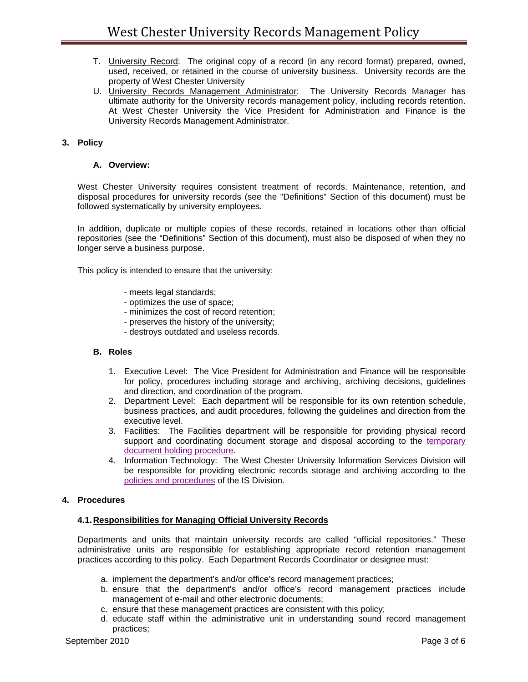- T. University Record: The original copy of a record (in any record format) prepared, owned, used, received, or retained in the course of university business. University records are the property of West Chester University
- U. University Records Management Administrator: The University Records Manager has ultimate authority for the University records management policy, including records retention. At West Chester University the Vice President for Administration and Finance is the University Records Management Administrator.

## **3. Policy**

### **A. Overview:**

West Chester University requires consistent treatment of records. Maintenance, retention, and disposal procedures for university records (see the "Definitions" Section of this document) must be followed systematically by university employees.

In addition, duplicate or multiple copies of these records, retained in locations other than official repositories (see the "Definitions" Section of this document), must also be disposed of when they no longer serve a business purpose.

This policy is intended to ensure that the university:

- meets legal standards;
- optimizes the use of space;
- minimizes the cost of record retention;
- preserves the history of the university;
- destroys outdated and useless records.

#### **B. Roles**

- 1. Executive Level: The Vice President for Administration and Finance will be responsible for policy, procedures including storage and archiving, archiving decisions, guidelines and direction, and coordination of the program.
- 2. Department Level: Each department will be responsible for its own retention schedule, business practices, and audit procedures, following the guidelines and direction from the executive level.
- 3. Facilities: The Facilities department will be responsible for providing physical record support and coordinating document storage and disposal according to the temporary document holding procedure.
- 4. Information Technology: The West Chester University Information Services Division will be responsible for providing electronic records storage and archiving according to the policies and procedures of the IS Division.

### **4. Procedures**

#### **4.1. Responsibilities for Managing Official University Records**

Departments and units that maintain university records are called "official repositories." These administrative units are responsible for establishing appropriate record retention management practices according to this policy. Each Department Records Coordinator or designee must:

- a. implement the department's and/or office's record management practices;
- b. ensure that the department's and/or office's record management practices include management of e-mail and other electronic documents;
- c. ensure that these management practices are consistent with this policy;
- d. educate staff within the administrative unit in understanding sound record management practices;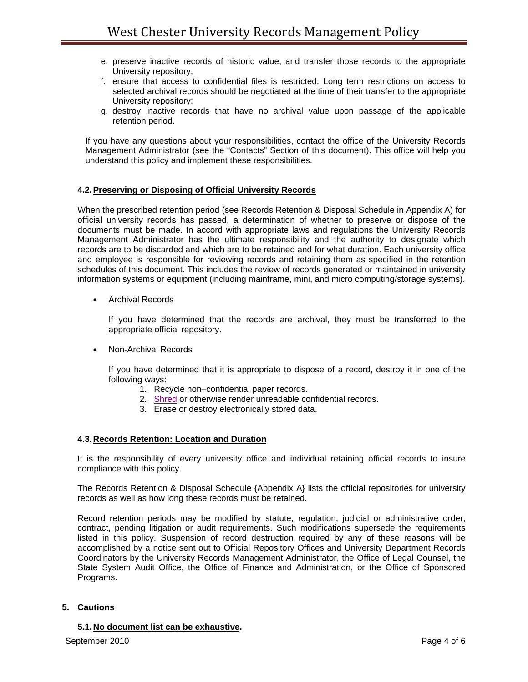- e. preserve inactive records of historic value, and transfer those records to the appropriate University repository;
- f. ensure that access to confidential files is restricted. Long term restrictions on access to selected archival records should be negotiated at the time of their transfer to the appropriate University repository;
- g. destroy inactive records that have no archival value upon passage of the applicable retention period.

If you have any questions about your responsibilities, contact the office of the University Records Management Administrator (see the "Contacts" Section of this document). This office will help you understand this policy and implement these responsibilities.

## **4.2. Preserving or Disposing of Official University Records**

When the prescribed retention period (see Records Retention & Disposal Schedule in Appendix A) for official university records has passed, a determination of whether to preserve or dispose of the documents must be made. In accord with appropriate laws and regulations the University Records Management Administrator has the ultimate responsibility and the authority to designate which records are to be discarded and which are to be retained and for what duration. Each university office and employee is responsible for reviewing records and retaining them as specified in the retention schedules of this document. This includes the review of records generated or maintained in university information systems or equipment (including mainframe, mini, and micro computing/storage systems).

• Archival Records

If you have determined that the records are archival, they must be transferred to the appropriate official repository.

Non-Archival Records

If you have determined that it is appropriate to dispose of a record, destroy it in one of the following ways:

- 1. Recycle non–confidential paper records.
- 2. Shred or otherwise render unreadable confidential records.
- 3. Erase or destroy electronically stored data.

# **4.3. Records Retention: Location and Duration**

It is the responsibility of every university office and individual retaining official records to insure compliance with this policy.

The Records Retention & Disposal Schedule {Appendix A} lists the official repositories for university records as well as how long these records must be retained.

Record retention periods may be modified by statute, regulation, judicial or administrative order, contract, pending litigation or audit requirements. Such modifications supersede the requirements listed in this policy. Suspension of record destruction required by any of these reasons will be accomplished by a notice sent out to Official Repository Offices and University Department Records Coordinators by the University Records Management Administrator, the Office of Legal Counsel, the State System Audit Office, the Office of Finance and Administration, or the Office of Sponsored Programs.

### **5. Cautions**

**5.1. No document list can be exhaustive.**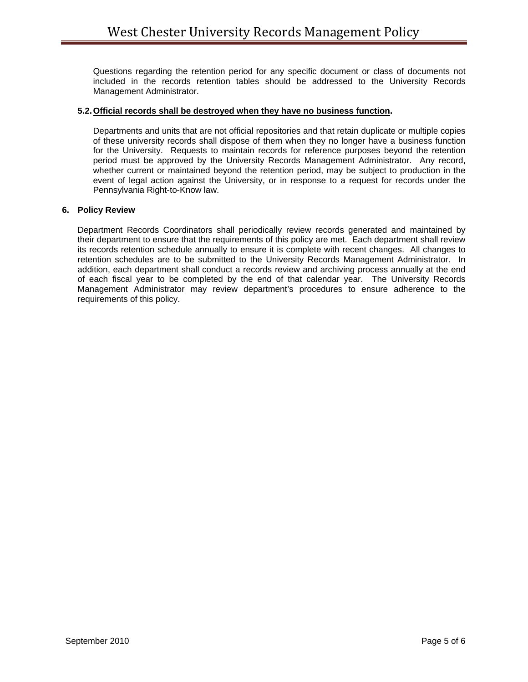Questions regarding the retention period for any specific document or class of documents not included in the records retention tables should be addressed to the University Records Management Administrator.

## **5.2. Official records shall be destroyed when they have no business function.**

Departments and units that are not official repositories and that retain duplicate or multiple copies of these university records shall dispose of them when they no longer have a business function for the University. Requests to maintain records for reference purposes beyond the retention period must be approved by the University Records Management Administrator. Any record, whether current or maintained beyond the retention period, may be subject to production in the event of legal action against the University, or in response to a request for records under the Pennsylvania Right-to-Know law.

### **6. Policy Review**

Department Records Coordinators shall periodically review records generated and maintained by their department to ensure that the requirements of this policy are met. Each department shall review its records retention schedule annually to ensure it is complete with recent changes. All changes to retention schedules are to be submitted to the University Records Management Administrator. In addition, each department shall conduct a records review and archiving process annually at the end of each fiscal year to be completed by the end of that calendar year. The University Records Management Administrator may review department's procedures to ensure adherence to the requirements of this policy.